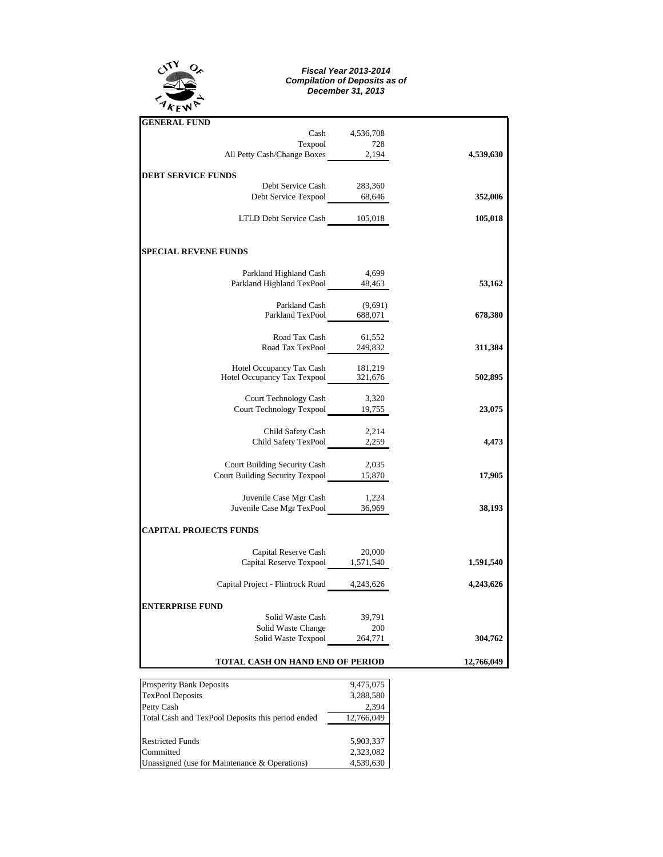

## *Fiscal Year 2013-2014 Compilation of Deposits as of December 31, 2013*

| <b>GENERAL FUND</b>                                                          |                |            |  |  |  |  |  |
|------------------------------------------------------------------------------|----------------|------------|--|--|--|--|--|
|                                                                              | Cash 4,536,708 |            |  |  |  |  |  |
| Texpool 728<br>All Petty Cash/Change Boxes 2,194                             |                |            |  |  |  |  |  |
|                                                                              |                | 4,539,630  |  |  |  |  |  |
| <b>DEBT SERVICE FUNDS</b>                                                    |                |            |  |  |  |  |  |
| Debt Service Cash                                                            | 283,360        |            |  |  |  |  |  |
| Debt Service Texpool 68,646                                                  |                | 352,006    |  |  |  |  |  |
|                                                                              |                |            |  |  |  |  |  |
| LTLD Debt Service Cash 105,018                                               |                | 105,018    |  |  |  |  |  |
|                                                                              |                |            |  |  |  |  |  |
| <b>SPECIAL REVENE FUNDS</b>                                                  |                |            |  |  |  |  |  |
| Parkland Highland Cash 4,699                                                 |                |            |  |  |  |  |  |
| Parkland Highland TexPool 48,463                                             |                | 53,162     |  |  |  |  |  |
|                                                                              |                |            |  |  |  |  |  |
|                                                                              |                |            |  |  |  |  |  |
| Parkland Cash (9,691)<br>Parkland TexPool 688,071                            |                | 678,380    |  |  |  |  |  |
| Road Tax Cash                                                                | 61,552         |            |  |  |  |  |  |
| Road Tax TexPool 249,832                                                     |                | 311,384    |  |  |  |  |  |
|                                                                              |                |            |  |  |  |  |  |
| Hotel Occupancy Tax Cash 181,219<br>Hotel Occupancy Tax Texpool 321,676      |                |            |  |  |  |  |  |
|                                                                              |                | 502,895    |  |  |  |  |  |
|                                                                              |                |            |  |  |  |  |  |
| Court Technology Cash 3,320<br>Court Technology Texpool 19,755               |                | 23,075     |  |  |  |  |  |
|                                                                              |                |            |  |  |  |  |  |
| Child Safety Cash                                                            | 2,214          |            |  |  |  |  |  |
| Child Safety TexPool 2,259                                                   |                | 4,473      |  |  |  |  |  |
|                                                                              |                |            |  |  |  |  |  |
|                                                                              |                |            |  |  |  |  |  |
| Court Building Security Cash 2,035<br>Court Building Security Texpool 15,870 |                | 17,905     |  |  |  |  |  |
| Juvenile Case Mgr Cash 1,224                                                 |                |            |  |  |  |  |  |
| Juvenile Case Mgr TexPool 36,969                                             |                | 38,193     |  |  |  |  |  |
|                                                                              |                |            |  |  |  |  |  |
| <b>CAPITAL PROJECTS FUNDS</b>                                                |                |            |  |  |  |  |  |
| Capital Reserve Cash                                                         | 20,000         |            |  |  |  |  |  |
| Capital Reserve Texpool 1,571,540                                            |                | 1,591,540  |  |  |  |  |  |
|                                                                              |                |            |  |  |  |  |  |
| Capital Project - Flintrock Road 4,243,626                                   |                | 4,243,626  |  |  |  |  |  |
| <b>ENTERPRISE FUND</b>                                                       |                |            |  |  |  |  |  |
| Solid Waste Cash                                                             | 39,791         |            |  |  |  |  |  |
| Solid Waste Change                                                           | 200            |            |  |  |  |  |  |
| Solid Waste Change 200<br>Solid Waste Texpool 264,771                        |                | 304,762    |  |  |  |  |  |
|                                                                              |                |            |  |  |  |  |  |
| <b>TOTAL CASH ON HAND END OF PERIOD</b>                                      |                | 12,766,049 |  |  |  |  |  |

| <b>Prosperity Bank Deposits</b>                   | 9,475,075  |  |  |  |
|---------------------------------------------------|------------|--|--|--|
| <b>TexPool Deposits</b>                           | 3,288,580  |  |  |  |
| Petty Cash                                        | 2,394      |  |  |  |
| Total Cash and TexPool Deposits this period ended | 12,766,049 |  |  |  |
|                                                   |            |  |  |  |
| <b>Restricted Funds</b>                           | 5.903.337  |  |  |  |
| Committed                                         | 2,323,082  |  |  |  |
| Unassigned (use for Maintenance & Operations)     | 4,539,630  |  |  |  |